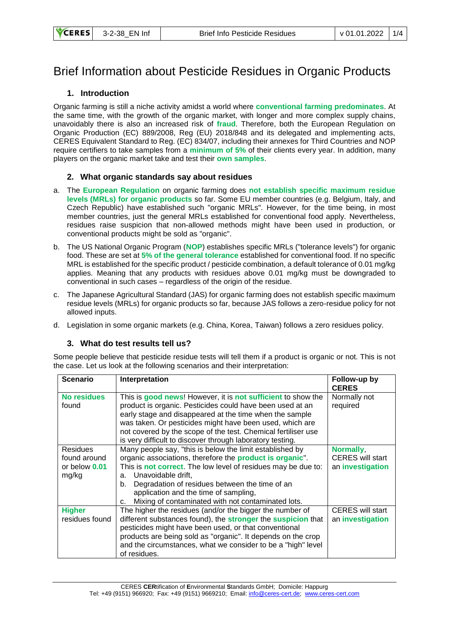# Brief Information about Pesticide Residues in Organic Products

## **1. Introduction**

Organic farming is still a niche activity amidst a world where **conventional farming predominates**. At the same time, with the growth of the organic market, with longer and more complex supply chains, unavoidably there is also an increased risk of **fraud**. Therefore, both the European Regulation on Organic Production (EC) 889/2008, Reg (EU) 2018/848 and its delegated and implementing acts, CERES Equivalent Standard to Reg. (EC) 834/07, including their annexes for Third Countries and NOP require certifiers to take samples from a **minimum of 5%** of their clients every year. In addition, many players on the organic market take and test their **own samples**.

## **2. What organic standards say about residues**

- a. The **European Regulation** on organic farming does **not establish specific maximum residue levels (MRLs) for organic products** so far. Some EU member countries (e.g. Belgium, Italy, and Czech Republic) have established such "organic MRLs". However, for the time being, in most member countries, just the general MRLs established for conventional food apply. Nevertheless, residues raise suspicion that non-allowed methods might have been used in production, or conventional products might be sold as "organic".
- b. The US National Organic Program (**NOP**) establishes specific MRLs ("tolerance levels") for organic food. These are set at **5% of the general tolerance** established for conventional food. If no specific MRL is established for the specific product / pesticide combination, a default tolerance of 0.01 mg/kg applies. Meaning that any products with residues above 0.01 mg/kg must be downgraded to conventional in such cases – regardless of the origin of the residue.
- c. The Japanese Agricultural Standard (JAS) for organic farming does not establish specific maximum residue levels (MRLs) for organic products so far, because JAS follows a zero-residue policy for not allowed inputs.
- d. Legislation in some organic markets (e.g. China, Korea, Taiwan) follows a zero residues policy.

## **3. What do test results tell us?**

Some people believe that pesticide residue tests will tell them if a product is organic or not. This is not the case. Let us look at the following scenarios and their interpretation:

| <b>Scenario</b>                                             | Interpretation                                                                                                                                                                                                                                                                                                                                                                         | Follow-up by<br><b>CERES</b>                             |
|-------------------------------------------------------------|----------------------------------------------------------------------------------------------------------------------------------------------------------------------------------------------------------------------------------------------------------------------------------------------------------------------------------------------------------------------------------------|----------------------------------------------------------|
| <b>No residues</b><br>found                                 | This is good news! However, it is not sufficient to show the<br>product is organic. Pesticides could have been used at an<br>early stage and disappeared at the time when the sample<br>was taken. Or pesticides might have been used, which are<br>not covered by the scope of the test. Chemical fertiliser use<br>is very difficult to discover through laboratory testing.         | Normally not<br>required                                 |
| <b>Residues</b><br>found around<br>or below $0.01$<br>mg/kg | Many people say, "this is below the limit established by<br>organic associations, therefore the <b>product is organic</b> ".<br>This is not correct. The low level of residues may be due to:<br>Unavoidable drift.<br>a.<br>Degradation of residues between the time of an<br>b.<br>application and the time of sampling,<br>Mixing of contaminated with not contaminated lots.<br>C. | Normally,<br><b>CERES</b> will start<br>an investigation |
| <b>Higher</b><br>residues found                             | The higher the residues (and/or the bigger the number of<br>different substances found), the <b>stronger</b> the <b>suspicion</b> that<br>pesticides might have been used, or that conventional<br>products are being sold as "organic". It depends on the crop<br>and the circumstances, what we consider to be a "high" level<br>of residues.                                        | <b>CERES</b> will start<br>an investigation              |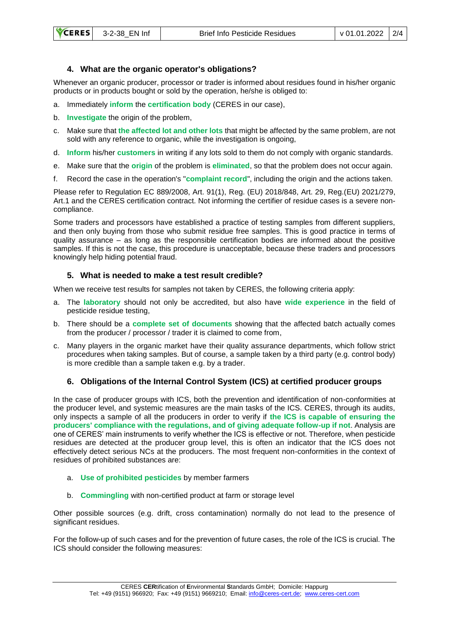# **4. What are the organic operator's obligations?**

Whenever an organic producer, processor or trader is informed about residues found in his/her organic products or in products bought or sold by the operation, he/she is obliged to:

- a. Immediately **inform** the **certification body** (CERES in our case),
- b. **Investigate** the origin of the problem,
- c. Make sure that **the affected lot and other lots** that might be affected by the same problem, are not sold with any reference to organic, while the investigation is ongoing,
- d. **Inform** his/her **customers** in writing if any lots sold to them do not comply with organic standards.
- e. Make sure that the **origin** of the problem is **eliminated**, so that the problem does not occur again.
- f. Record the case in the operation's "**complaint record**", including the origin and the actions taken.

Please refer to Regulation EC 889/2008, Art. 91(1), Reg. (EU) 2018/848, Art. 29, Reg.(EU) 2021/279, Art.1 and the CERES certification contract. Not informing the certifier of residue cases is a severe noncompliance.

Some traders and processors have established a practice of testing samples from different suppliers, and then only buying from those who submit residue free samples. This is good practice in terms of quality assurance – as long as the responsible certification bodies are informed about the positive samples. If this is not the case, this procedure is unacceptable, because these traders and processors knowingly help hiding potential fraud.

## **5. What is needed to make a test result credible?**

When we receive test results for samples not taken by CERES, the following criteria apply:

- a. The **laboratory** should not only be accredited, but also have **wide experience** in the field of pesticide residue testing,
- b. There should be a **complete set of documents** showing that the affected batch actually comes from the producer / processor / trader it is claimed to come from,
- c. Many players in the organic market have their quality assurance departments, which follow strict procedures when taking samples. But of course, a sample taken by a third party (e.g. control body) is more credible than a sample taken e.g. by a trader.

# **6. Obligations of the Internal Control System (ICS) at certified producer groups**

In the case of producer groups with ICS, both the prevention and identification of non-conformities at the producer level, and systemic measures are the main tasks of the ICS. CERES, through its audits, only inspects a sample of all the producers in order to verify if **the ICS is capable of ensuring the producers' compliance with the regulations, and of giving adequate follow-up if not**. Analysis are one of CERES' main instruments to verify whether the ICS is effective or not. Therefore, when pesticide residues are detected at the producer group level, this is often an indicator that the ICS does not effectively detect serious NCs at the producers. The most frequent non-conformities in the context of residues of prohibited substances are:

- a. **Use of prohibited pesticides** by member farmers
- b. **Commingling** with non-certified product at farm or storage level

Other possible sources (e.g. drift, cross contamination) normally do not lead to the presence of significant residues.

For the follow-up of such cases and for the prevention of future cases, the role of the ICS is crucial. The ICS should consider the following measures: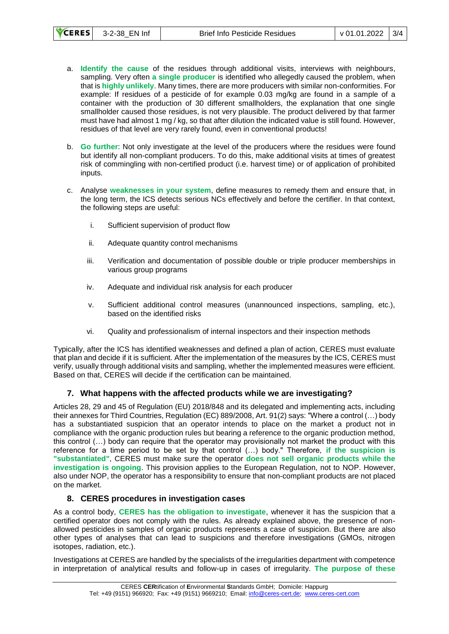| <b>VCERES</b> | 3-2-38 EN Inf |  |
|---------------|---------------|--|
|               |               |  |

- a. **Identify the cause** of the residues through additional visits, interviews with neighbours, sampling. Very often **a single producer** is identified who allegedly caused the problem, when that is **highly unlikely**. Many times, there are more producers with similar non-conformities. For example: If residues of a pesticide of for example 0.03 mg/kg are found in a sample of a container with the production of 30 different smallholders, the explanation that one single smallholder caused those residues, is not very plausible. The product delivered by that farmer must have had almost 1 mg / kg, so that after dilution the indicated value is still found. However, residues of that level are very rarely found, even in conventional products!
- b. **Go further**: Not only investigate at the level of the producers where the residues were found but identify all non-compliant producers. To do this, make additional visits at times of greatest risk of commingling with non-certified product (i.e. harvest time) or of application of prohibited inputs.
- c. Analyse **weaknesses in your system**, define measures to remedy them and ensure that, in the long term, the ICS detects serious NCs effectively and before the certifier. In that context, the following steps are useful:
	- i. Sufficient supervision of product flow
	- ii. Adequate quantity control mechanisms
	- iii. Verification and documentation of possible double or triple producer memberships in various group programs
	- iv. Adequate and individual risk analysis for each producer
	- v. Sufficient additional control measures (unannounced inspections, sampling, etc.), based on the identified risks
	- vi. Quality and professionalism of internal inspectors and their inspection methods

Typically, after the ICS has identified weaknesses and defined a plan of action, CERES must evaluate that plan and decide if it is sufficient. After the implementation of the measures by the ICS, CERES must verify, usually through additional visits and sampling, whether the implemented measures were efficient. Based on that, CERES will decide if the certification can be maintained.

## **7. What happens with the affected products while we are investigating?**

Articles 28, 29 and 45 of Regulation (EU) 2018/848 and its delegated and implementing acts, including their annexes for Third Countries, Regulation (EC) 889/2008, Art. 91(2) says: "Where a control (…) body has a substantiated suspicion that an operator intends to place on the market a product not in compliance with the organic production rules but bearing a reference to the organic production method, this control (…) body can require that the operator may provisionally not market the product with this reference for a time period to be set by that control (…) body." Therefore, **if the suspicion is "substantiated"**, CERES must make sure the operator **does not sell organic products while the investigation is ongoing**. This provision applies to the European Regulation, not to NOP. However, also under NOP, the operator has a responsibility to ensure that non-compliant products are not placed on the market.

## **8. CERES procedures in investigation cases**

As a control body, **CERES has the obligation to investigate**, whenever it has the suspicion that a certified operator does not comply with the rules. As already explained above, the presence of nonallowed pesticides in samples of organic products represents a case of suspicion. But there are also other types of analyses that can lead to suspicions and therefore investigations (GMOs, nitrogen isotopes, radiation, etc.).

Investigations at CERES are handled by the specialists of the irregularities department with competence in interpretation of analytical results and follow-up in cases of irregularity. **The purpose of these**